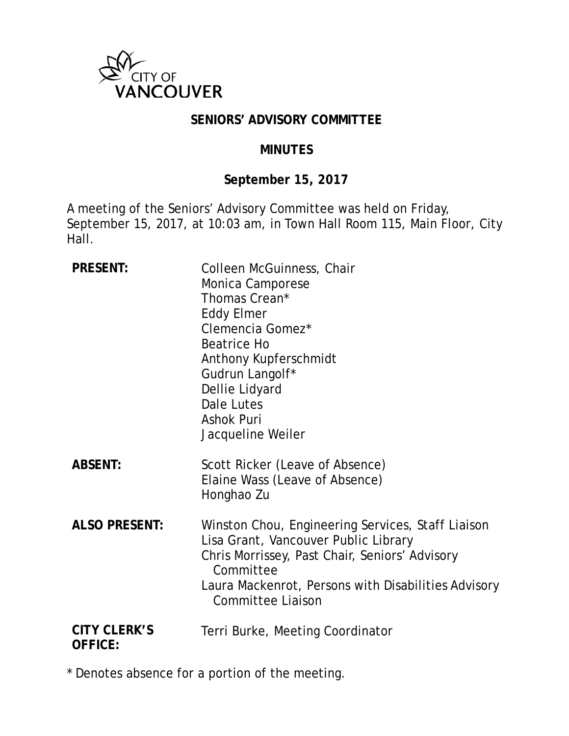

#### **SENIORS' ADVISORY COMMITTEE**

#### **MINUTES**

#### **September 15, 2017**

A meeting of the Seniors' Advisory Committee was held on Friday, September 15, 2017, at 10:03 am, in Town Hall Room 115, Main Floor, City Hall.

| <b>PRESENT:</b>                       | Colleen McGuinness, Chair<br>Monica Camporese<br>Thomas Crean*<br><b>Eddy Elmer</b><br>Clemencia Gomez*<br>Beatrice Ho<br>Anthony Kupferschmidt<br>Gudrun Langolf*<br>Dellie Lidyard<br>Dale Lutes<br><b>Ashok Puri</b><br>Jacqueline Weiler |
|---------------------------------------|----------------------------------------------------------------------------------------------------------------------------------------------------------------------------------------------------------------------------------------------|
| <b>ABSENT:</b>                        | Scott Ricker (Leave of Absence)<br>Elaine Wass (Leave of Absence)<br>Honghao Zu                                                                                                                                                              |
| <b>ALSO PRESENT:</b>                  | Winston Chou, Engineering Services, Staff Liaison<br>Lisa Grant, Vancouver Public Library<br>Chris Morrissey, Past Chair, Seniors' Advisory<br>Committee<br>Laura Mackenrot, Persons with Disabilities Advisory<br><b>Committee Liaison</b>  |
| <b>CITY CLERK'S</b><br><b>OFFICE:</b> | Terri Burke, Meeting Coordinator                                                                                                                                                                                                             |

\* Denotes absence for a portion of the meeting.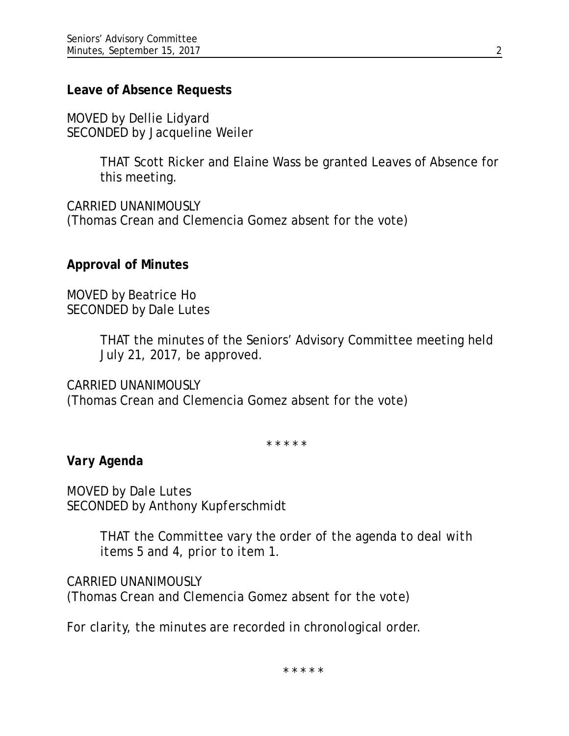#### **Leave of Absence Requests**

MOVED by Dellie Lidyard SECONDED by Jacqueline Weiler

> THAT Scott Ricker and Elaine Wass be granted Leaves of Absence for this meeting.

CARRIED UNANIMOUSLY (Thomas Crean and Clemencia Gomez absent for the vote)

### **Approval of Minutes**

MOVED by Beatrice Ho SECONDED by Dale Lutes

> THAT the minutes of the Seniors' Advisory Committee meeting held July 21, 2017, be approved.

CARRIED UNANIMOUSLY

(Thomas Crean and Clemencia Gomez absent for the vote)

\* \* \* \* \*

*Vary Agenda*

*MOVED by Dale Lutes SECONDED by Anthony Kupferschmidt*

> *THAT the Committee vary the order of the agenda to deal with items 5 and 4, prior to item 1.*

*CARRIED UNANIMOUSLY (Thomas Crean and Clemencia Gomez absent for the vote)*

*For clarity, the minutes are recorded in chronological order.*

\* \* \* \* \*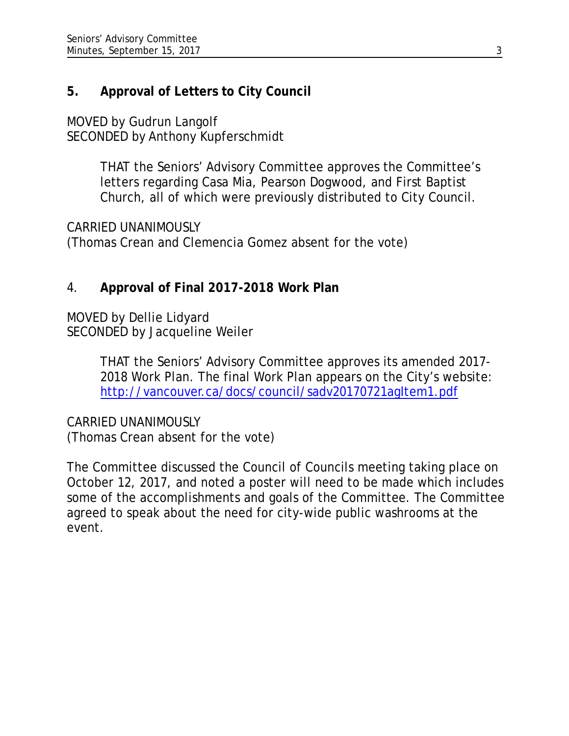# **5. Approval of Letters to City Council**

MOVED by Gudrun Langolf SECONDED by Anthony Kupferschmidt

> THAT the Seniors' Advisory Committee approves the Committee's letters regarding Casa Mia, Pearson Dogwood, and First Baptist Church, all of which were previously distributed to City Council.

CARRIED UNANIMOUSLY (Thomas Crean and Clemencia Gomez absent for the vote)

## 4. **Approval of Final 2017-2018 Work Plan**

MOVED by Dellie Lidyard SECONDED by Jacqueline Weiler

> THAT the Seniors' Advisory Committee approves its amended 2017- 2018 Work Plan. The final Work Plan appears on the City's website: <http://vancouver.ca/docs/council/sadv20170721agItem1.pdf>

CARRIED UNANIMOUSLY (Thomas Crean absent for the vote)

The Committee discussed the Council of Councils meeting taking place on October 12, 2017, and noted a poster will need to be made which includes some of the accomplishments and goals of the Committee. The Committee agreed to speak about the need for city-wide public washrooms at the event.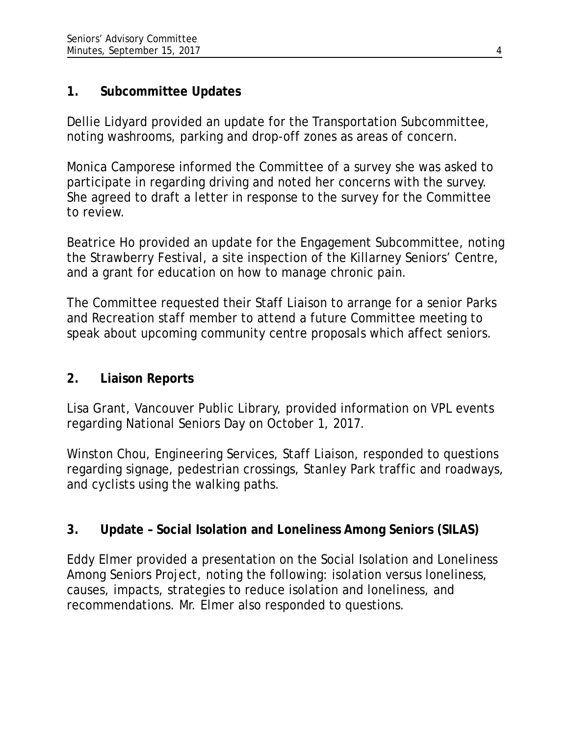## **1. Subcommittee Updates**

Dellie Lidyard provided an update for the Transportation Subcommittee, noting washrooms, parking and drop-off zones as areas of concern.

Monica Camporese informed the Committee of a survey she was asked to participate in regarding driving and noted her concerns with the survey. She agreed to draft a letter in response to the survey for the Committee to review.

Beatrice Ho provided an update for the Engagement Subcommittee, noting the Strawberry Festival, a site inspection of the Killarney Seniors' Centre, and a grant for education on how to manage chronic pain.

The Committee requested their Staff Liaison to arrange for a senior Parks and Recreation staff member to attend a future Committee meeting to speak about upcoming community centre proposals which affect seniors.

## **2. Liaison Reports**

Lisa Grant, Vancouver Public Library, provided information on VPL events regarding National Seniors Day on October 1, 2017.

Winston Chou, Engineering Services, Staff Liaison, responded to questions regarding signage, pedestrian crossings, Stanley Park traffic and roadways, and cyclists using the walking paths.

## **3. Update – Social Isolation and Loneliness Among Seniors (SILAS)**

Eddy Elmer provided a presentation on the Social Isolation and Loneliness Among Seniors Project, noting the following: isolation versus loneliness, causes, impacts, strategies to reduce isolation and loneliness, and recommendations. Mr. Elmer also responded to questions.